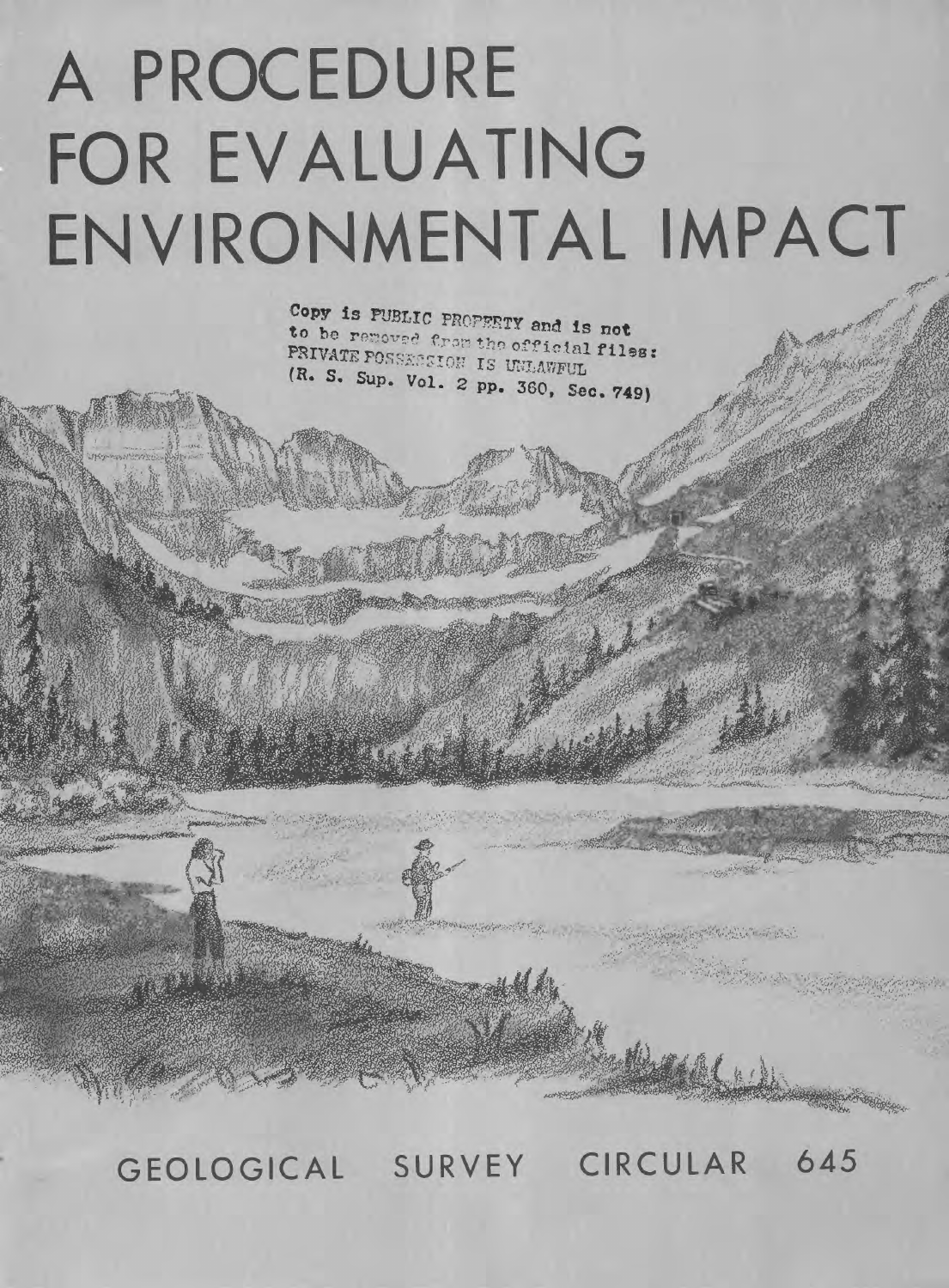# A PROCEDURE FOR EVALUATING ENVIRONMENTAL IMPACT

Copy is PUBLIC PROPERTY and is not to be removed from the official files: PRIVATE POSSESSION IS UNLAWFUL (R. S. Sup. Vol. 2 pp. 360, Sec. 749)

CIRCULAR 645 SURVEY GEOLOGICAL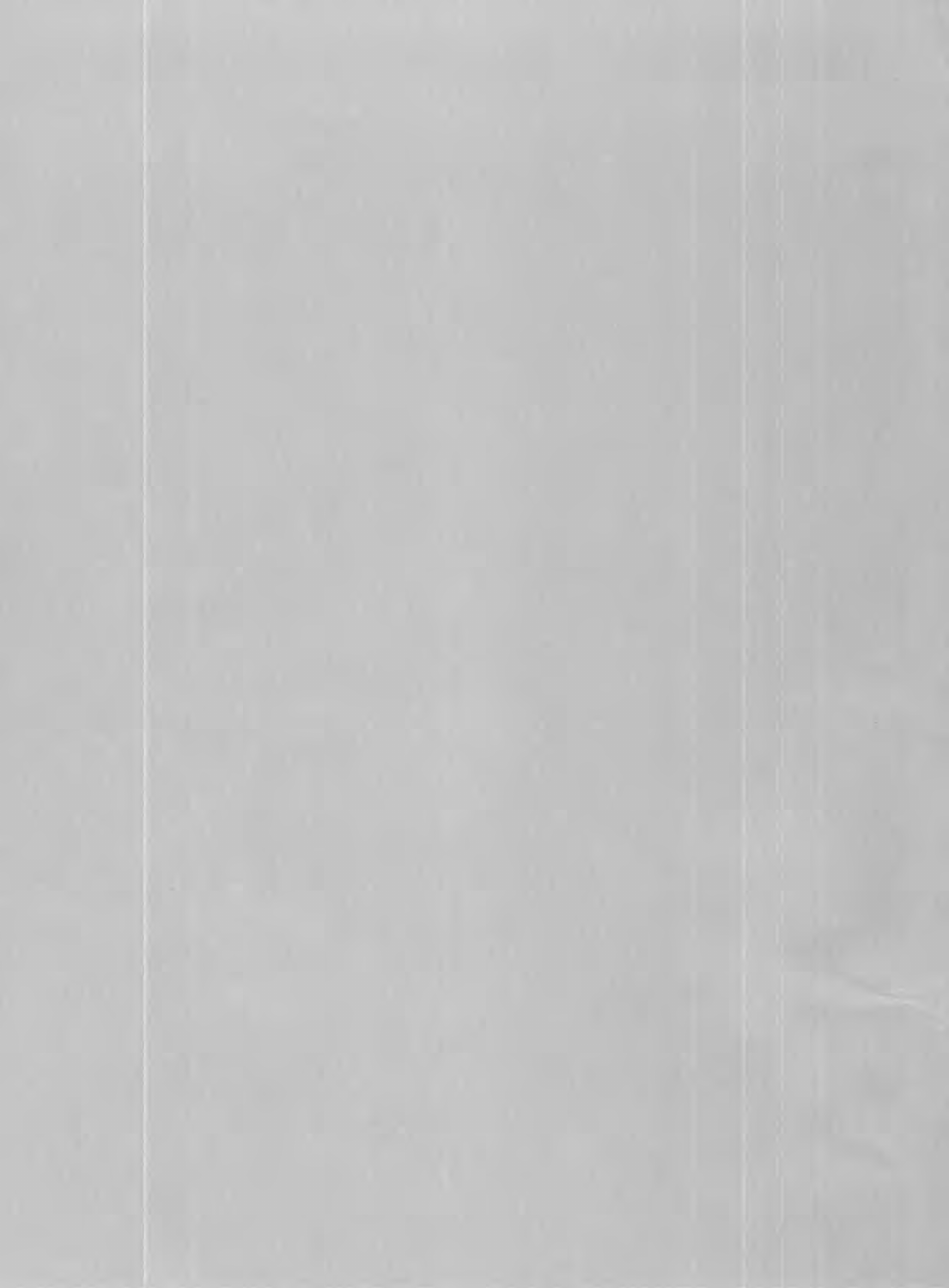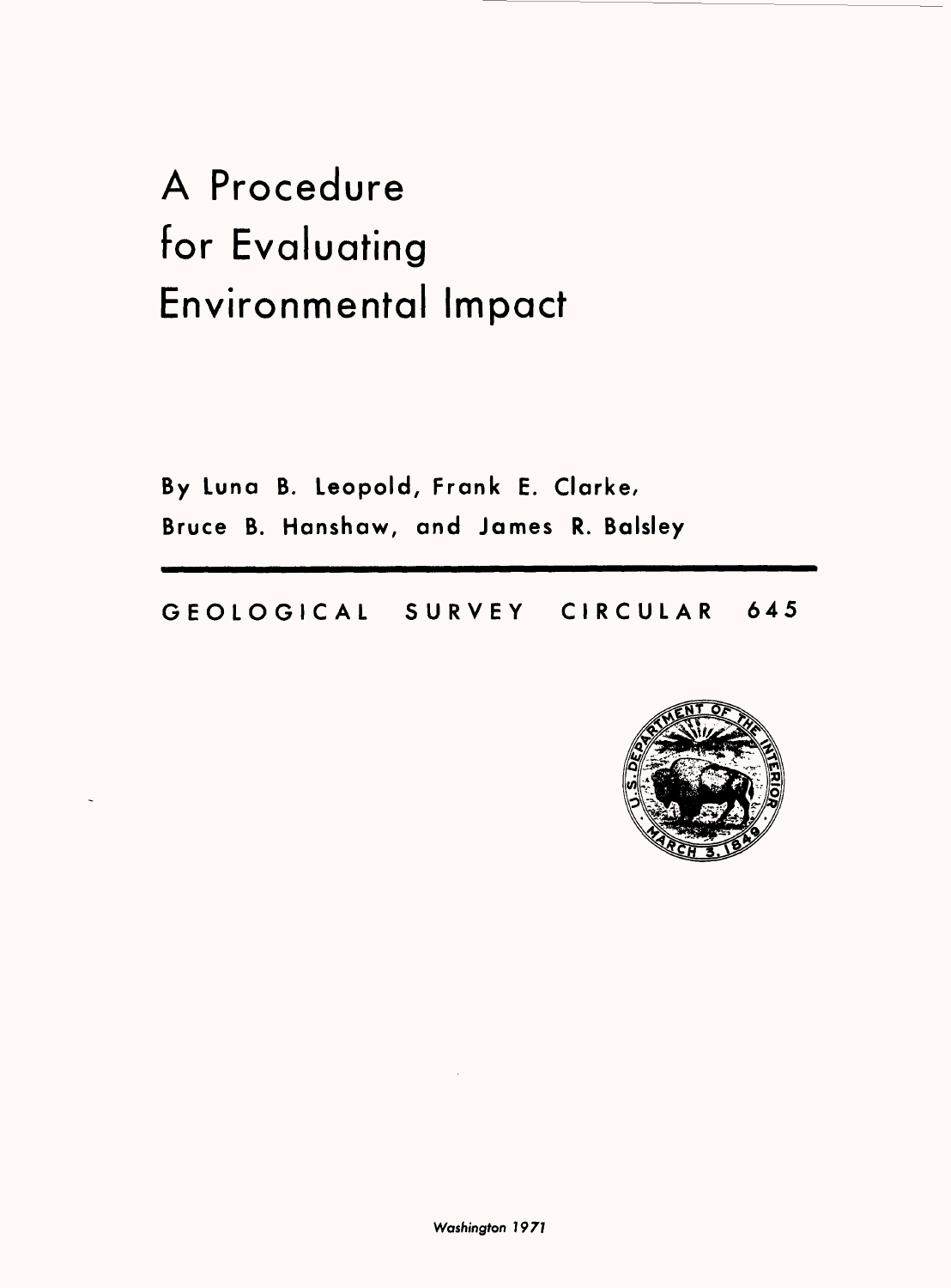## A Procedure for Evaluating Environmental Impact

**By Luna B. Leopold, Frank E. Clarke/ Bruce B. Hanshaw, and James R. Balsley**

**GEOLOGICAL SURVEY CIRCULAR 645**

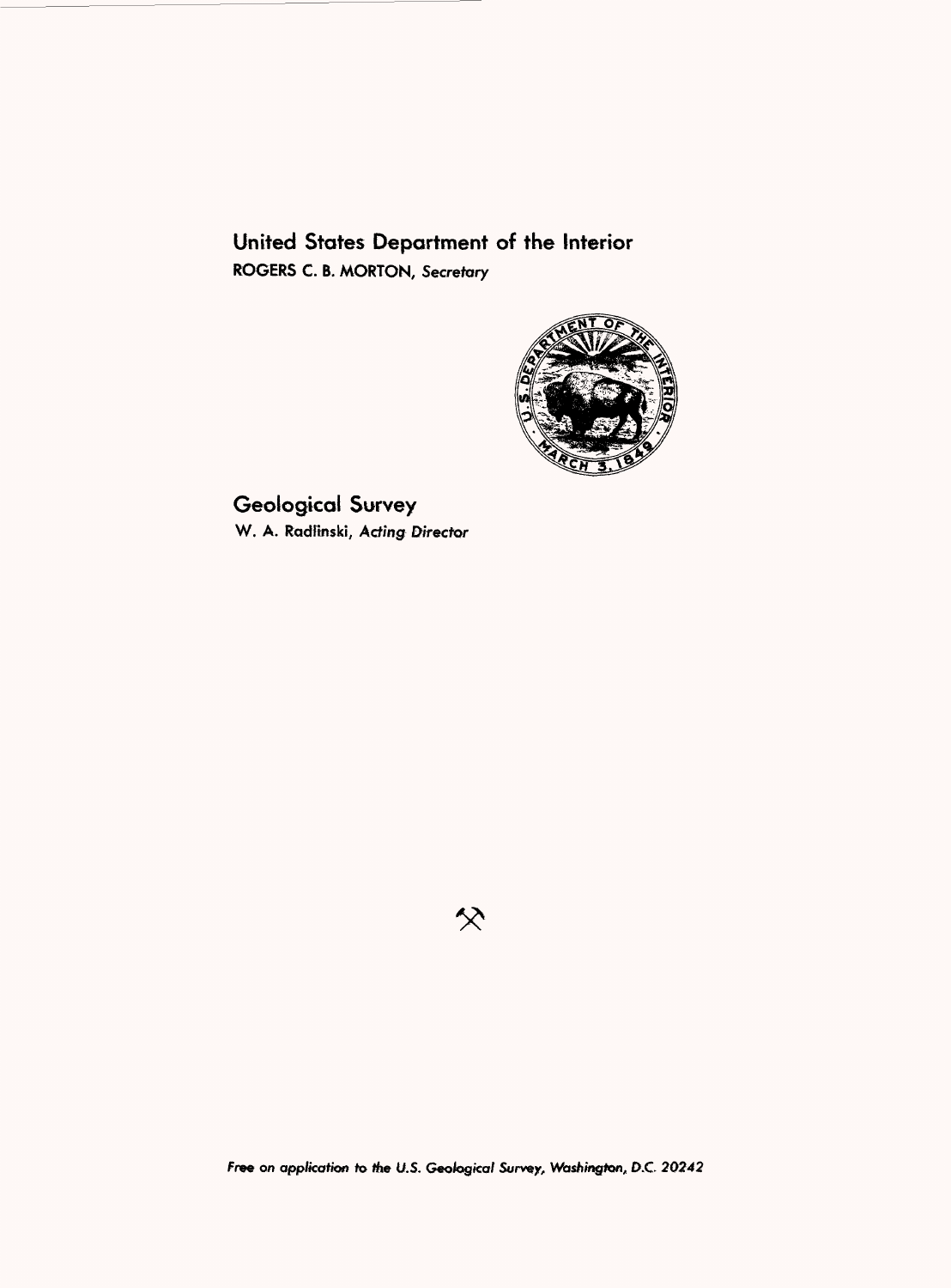United States Department of the Interior **ROGERS C. B. MORION, Secretory**



Geological Survey W. A. Radlinski, Acting Director



Free on *application* to the U.S. Geological Survey, Washington, D.C. 20242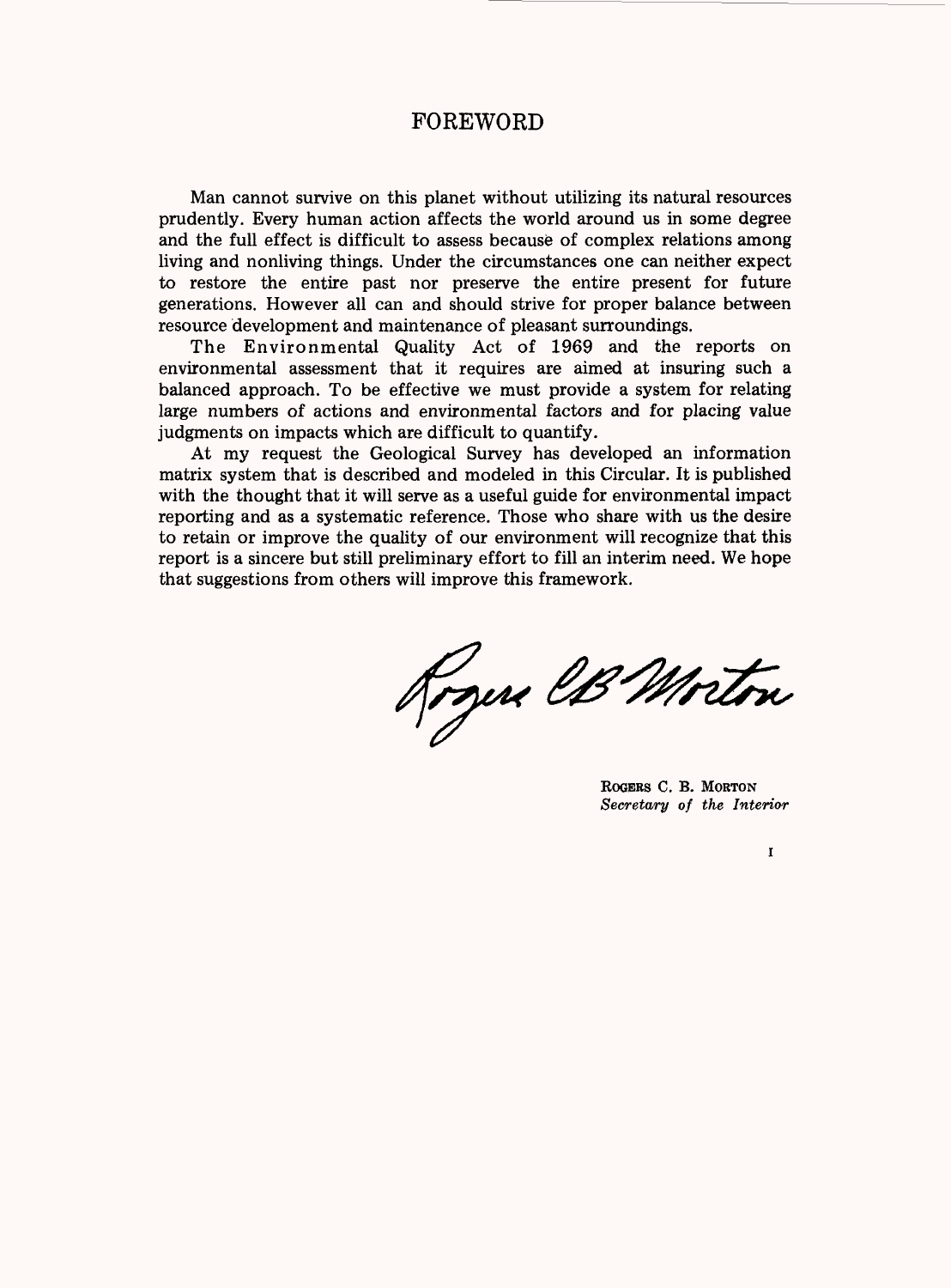#### FOREWORD

Man cannot survive on this planet without utilizing its natural resources prudently. Every human action affects the world around us in some degree and the full effect is difficult to assess because of complex relations among living and nonliving things. Under the circumstances one can neither expect to restore the entire past nor preserve the entire present for future generations. However all can and should strive for proper balance between resource development and maintenance of pleasant surroundings.

The Environmental Quality Act of 1969 and the reports on environmental assessment that it requires are aimed at insuring such a balanced approach. To be effective we must provide a system for relating large numbers of actions and environmental factors and for placing value judgments on impacts which are difficult to quantify.

At my request the Geological Survey has developed an information matrix system that is described and modeled in this Circular. It is published with the thought that it will serve as a useful guide for environmental impact reporting and as a systematic reference. Those who share with us the desire to retain or improve the quality of our environment will recognize that this report is a sincere but still preliminary effort to fill an interim need. We hope that suggestions from others will improve this framework.

Rogers CB Morton

ROGERS C. B. MOETON *Secretary of the Interior*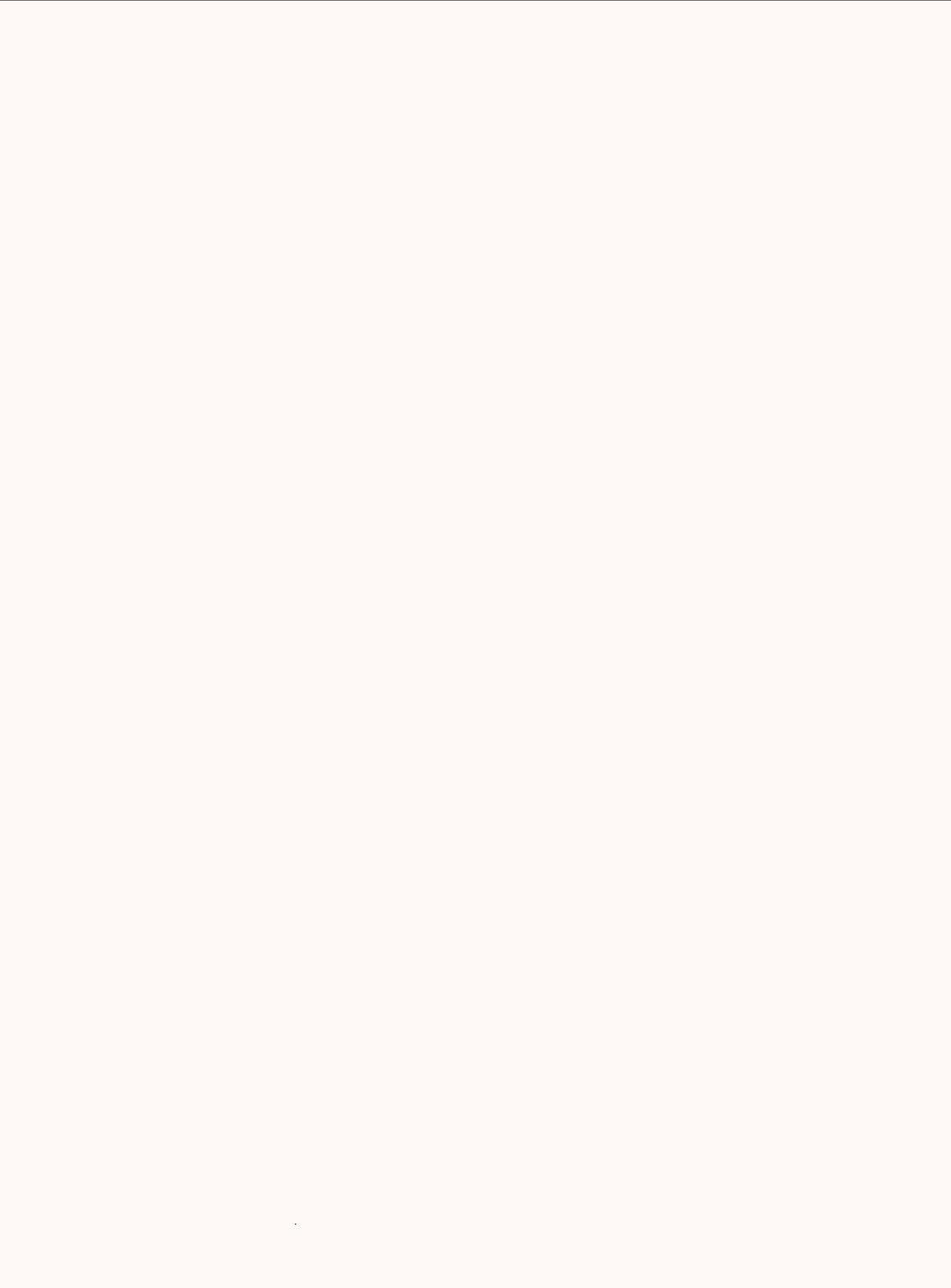$\mathcal{L}^{\text{max}}_{\text{max}}$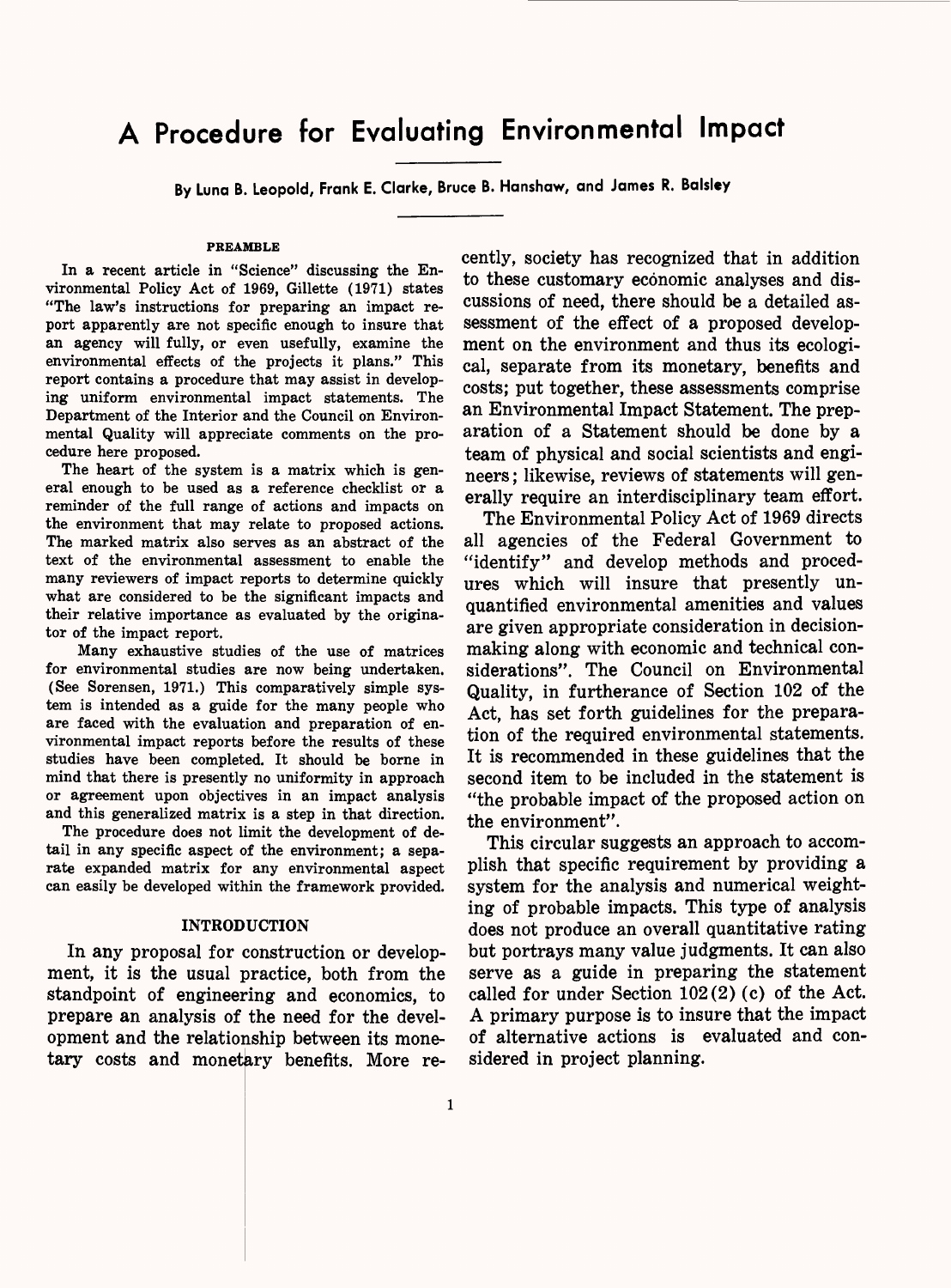### **A Procedure for Evaluating Environmental Impact**

**By Luna B. Leopold, Frank E. Clarke, Bruce B. Hanshaw, and James R. Balsky**

#### **PREAMBLE**

In a recent article in "Science" discussing the Environmental Policy Act of 1969, Gillette (1971) states "The law's instructions for preparing an impact report apparently are not specific enough to insure that an agency will fully, or even usefully, examine the environmental effects of the projects it plans." This report contains a procedure that may assist in developing uniform environmental impact statements. The Department of the Interior and the Council on Environmental Quality will appreciate comments on the procedure here proposed.

The heart of the system is a matrix which is general enough to be used as a reference checklist or a reminder of the full range of actions and impacts on the environment that may relate to proposed actions. The marked matrix also serves as an abstract of the text of the environmental assessment to enable the many reviewers of impact reports to determine quickly what are considered to be the significant impacts and their relative importance as evaluated by the originator of the impact report.

Many exhaustive studies of the use of matrices for environmental studies are now being undertaken. (See Sorensen, 1971.) This comparatively simple system is intended as a guide for the many people who are faced with the evaluation and preparation of environmental impact reports before the results of these studies have been completed. It should be borne in mind that there is presently no uniformity in approach or agreement upon objectives in an impact analysis and this generalized matrix is a step in that direction.

The procedure does not limit the development of detail in any specific aspect of the environment; a separate expanded matrix for any environmental aspect can easily be developed within the framework provided.

#### **INTRODUCTION**

In any proposal for construction or development, it is the usual practice, both from the standpoint of engineering and economics, to prepare an analysis of the need for the development and the relationship between its monetary costs and monetary benefits. More re-

cently, society has recognized that in addition to these customary economic analyses and discussions of need, there should be a detailed assessment of the effect of a proposed development on the environment and thus its ecological, separate from its monetary, benefits and costs; put together, these assessments comprise an Environmental Impact Statement. The preparation of a Statement should be done by a team of physical and social scientists and engineers ; likewise, reviews of statements will generally require an interdisciplinary team effort.

The Environmental Policy Act of 1969 directs all agencies of the Federal Government to "identify" and develop methods and procedures which will insure that presently unquantified environmental amenities and values are given appropriate consideration in decisionmaking along with economic and technical considerations". The Council on Environmental Quality, in furtherance of Section 102 of the Act, has set forth guidelines for the preparation of the required environmental statements. It is recommended in these guidelines that the second item to be included in the statement is "the probable impact of the proposed action on the environment".

This circular suggests an approach to accomplish that specific requirement by providing a system for the analysis and numerical weighting of probable impacts. This type of analysis does not produce an overall quantitative rating but portrays many value judgments. It can also serve as a guide in preparing the statement called for under Section 102(2) (c) of the Act. A primary purpose is to insure that the impact of alternative actions is evaluated and considered in project planning.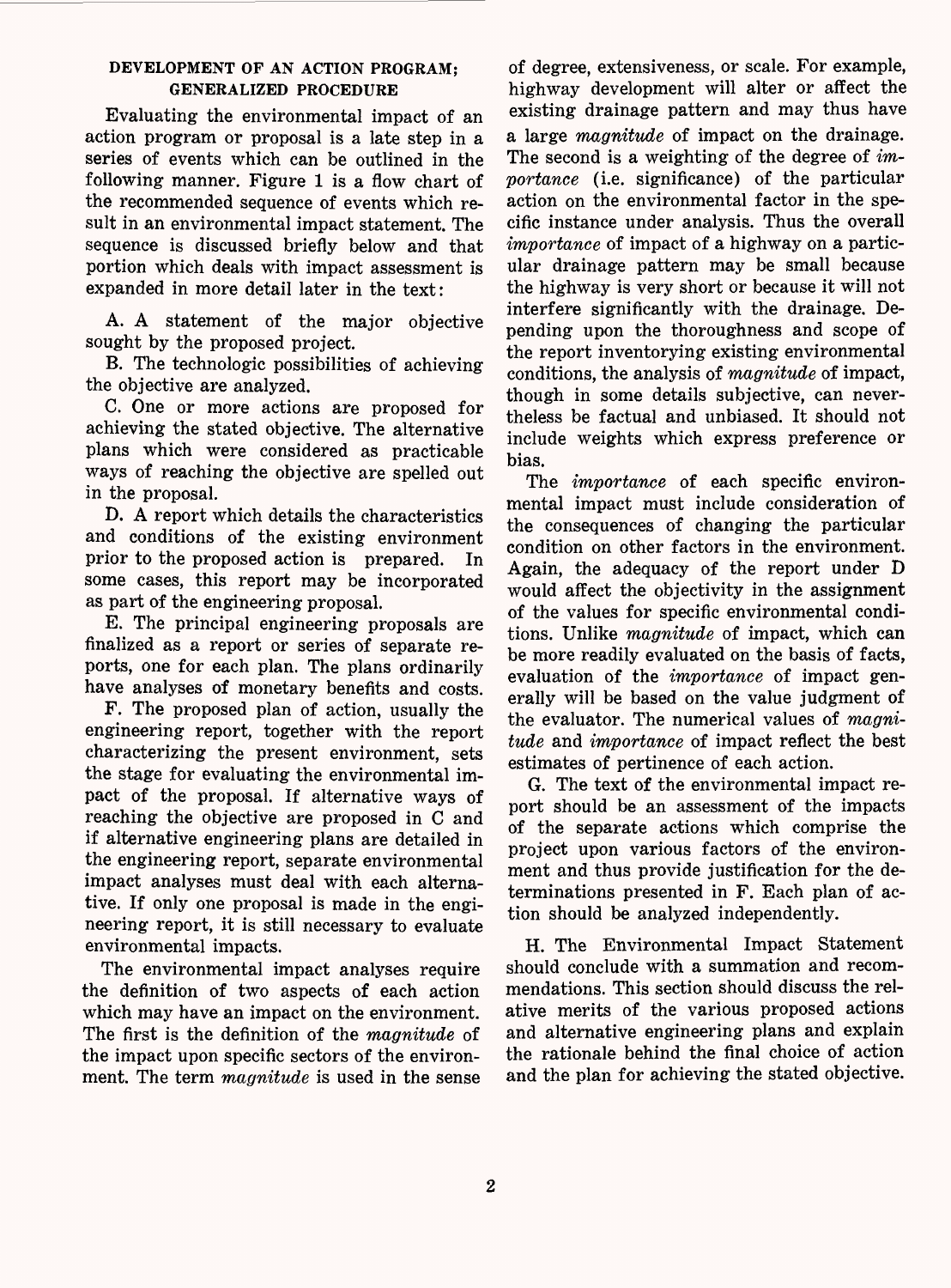#### **DEVELOPMENT OF AN ACTION PROGRAM; GENERALIZED PROCEDURE**

Evaluating the environmental impact of an action program or proposal is a late step in a series of events which can be outlined in the following manner. Figure 1 is a flow chart of the recommended sequence of events which result in an environmental impact statement. The sequence is discussed briefly below and that portion which deals with impact assessment is expanded in more detail later in the text:

A. A statement of the major objective sought by the proposed project.

B. The technologic possibilities of achieving the objective are analyzed.

C. One or more actions are proposed for achieving the stated objective. The alternative plans which were considered as practicable ways of reaching the objective are spelled out in the proposal.

D. A report which details the characteristics and conditions of the existing environment prior to the proposed action is prepared. In some cases, this report may be incorporated as part of the engineering proposal.

E. The principal engineering proposals are finalized as a report or series of separate reports, one for each plan. The plans ordinarily have analyses of monetary benefits and costs.

F. The proposed plan of action, usually the engineering report, together with the report characterizing the present environment, sets the stage for evaluating the environmental impact of the proposal. If alternative ways of reaching the objective are proposed in C and if alternative engineering plans are detailed in the engineering report, separate environmental impact analyses must deal with each alternative. If only one proposal is made in the engineering report, it is still necessary to evaluate environmental impacts.

The environmental impact analyses require the definition of two aspects of each action which may have an impact on the environment. The first is the definition of the *magnitude* of the impact upon specific sectors of the environment. The term *magnitude* is used in the sense

of degree, extensiveness, or scale. For example, highway development will alter or affect the existing drainage pattern and may thus have a large *magnitude* of impact on the drainage. The second is a weighting of the degree of *importance* (i.e. significance) of the particular action on the environmental factor in the specific instance under analysis. Thus the overall *importance* of impact of a highway on a particular drainage pattern may be small because the highway is very short or because it will not interfere significantly with the drainage. Depending upon the thoroughness and scope of the report inventorying existing environmental conditions, the analysis of *magnitude* of impact, though in some details subjective, can nevertheless be factual and unbiased. It should not include weights which express preference or bias.

The *importance* of each specific environmental impact must include consideration of the consequences of changing the particular condition on other factors in the environment. Again, the adequacy of the report under D would affect the objectivity in the assignment of the values for specific environmental conditions. Unlike *magnitude* of impact, which can be more readily evaluated on the basis of facts, evaluation of the *importance* of impact generally will be based on the value judgment of the evaluator. The numerical values of *magnitude* and *importance* of impact reflect the best estimates of pertinence of each action.

G. The text of the environmental impact report should be an assessment of the impacts of the separate actions which comprise the project upon various factors of the environment and thus provide justification for the determinations presented in F. Each plan of action should be analyzed independently.

H. The Environmental Impact Statement should conclude with a summation and recommendations. This section should discuss the relative merits of the various proposed actions and alternative engineering plans and explain the rationale behind the final choice of action and the plan for achieving the stated objective.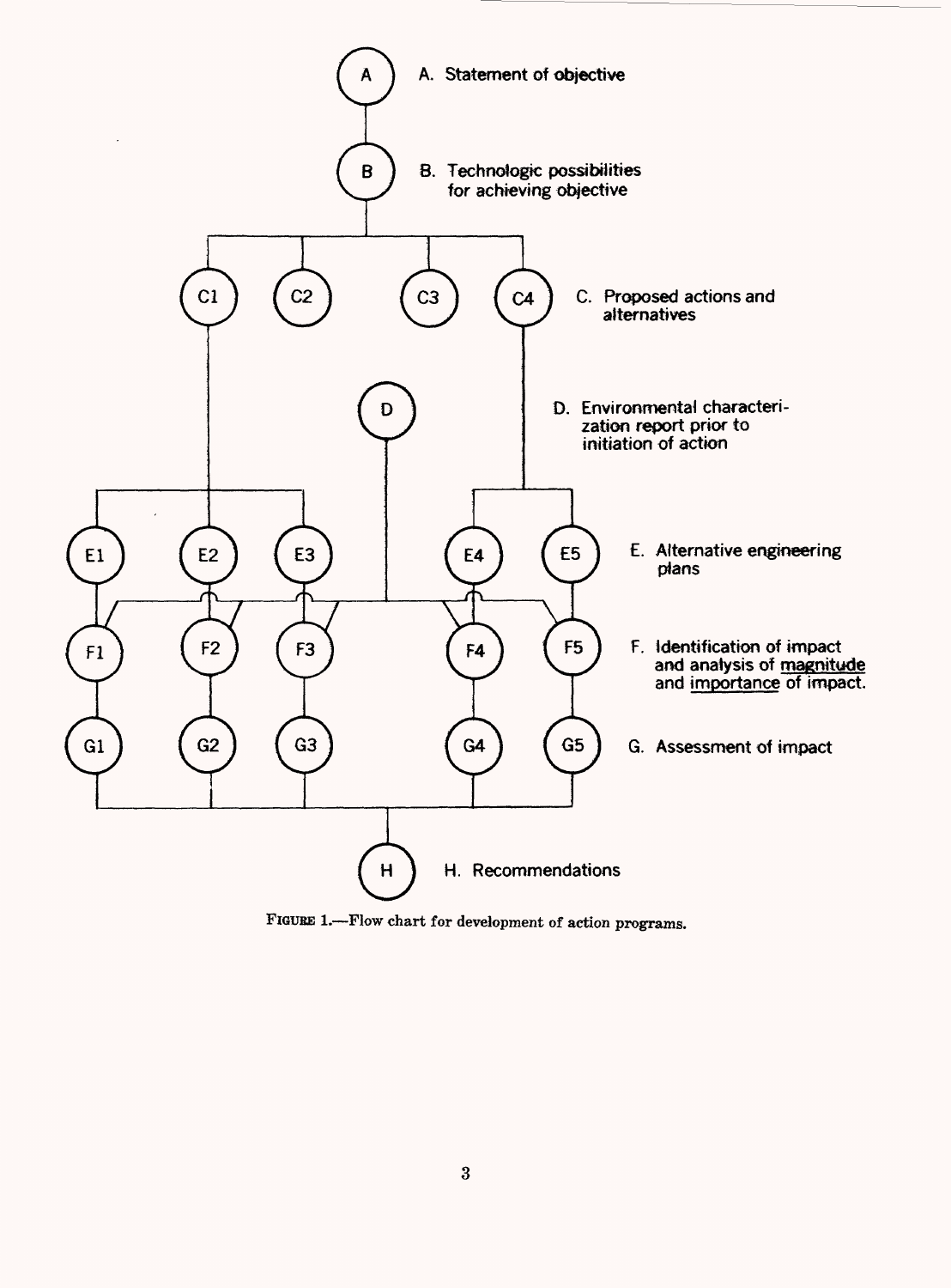

FIGURE 1.—Flow chart for development of action programs.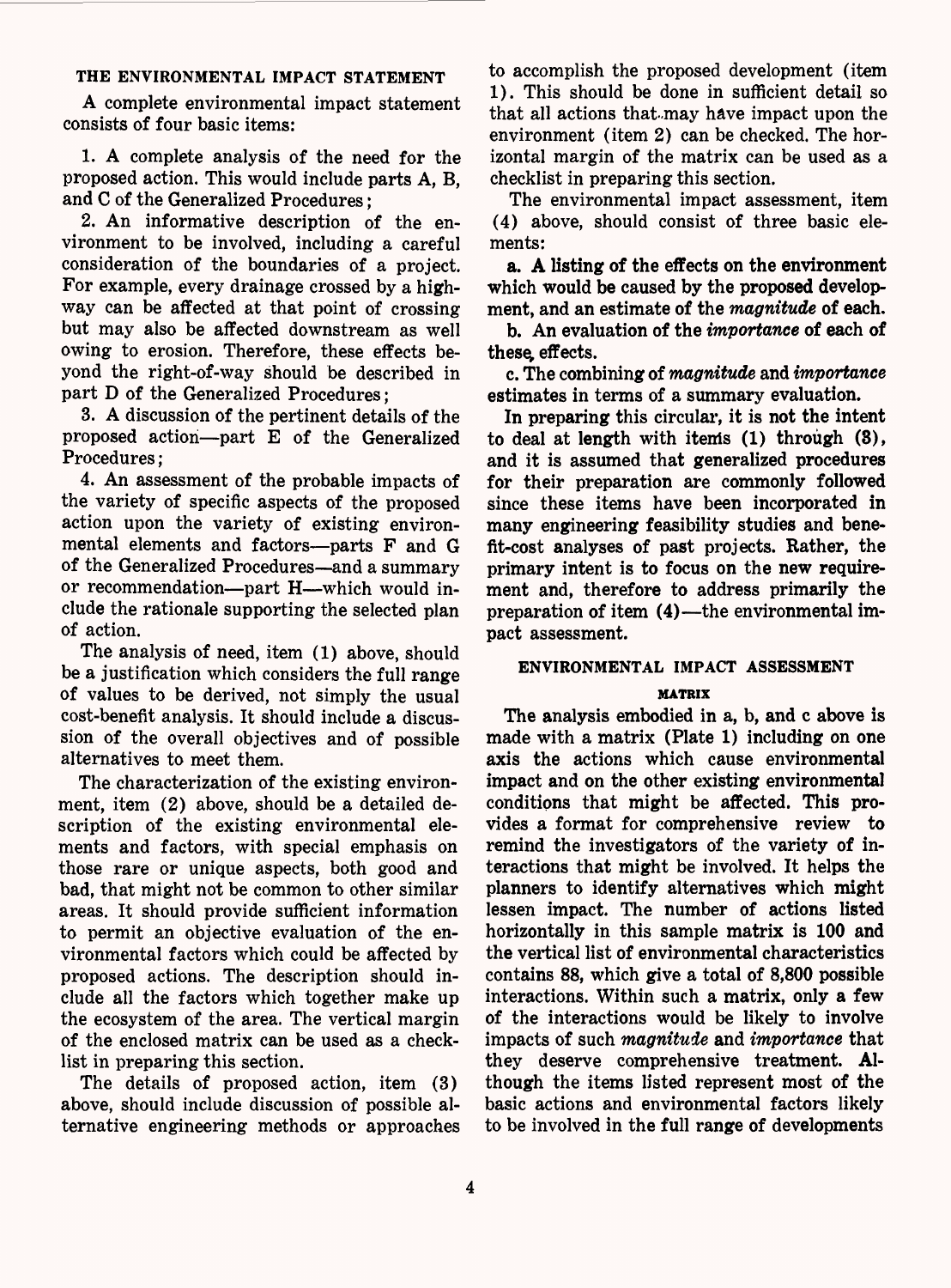#### **THE ENVIRONMENTAL IMPACT STATEMENT**

A complete environmental impact statement consists of four basic items:

1. A complete analysis of the need for the proposed action. This would include parts A, B, and C of the Generalized Procedures;

2. An informative description of the environment to be involved, including a careful consideration of the boundaries of a project. For example, every drainage crossed by a highway can be affected at that point of crossing but may also be affected downstream as well owing to erosion. Therefore, these effects beyond the right-of-way should be described in part D of the Generalized Procedures;

3. A discussion of the pertinent details of the proposed action—part E of the Generalized Procedures;

4. An assessment of the probable impacts of the variety of specific aspects of the proposed action upon the variety of existing environmental elements and factors—parts F and G of the Generalized Procedures—and a summary or recommendation—part H—which would include the rationale supporting the selected plan of action.

The analysis of need, item (1) above, should be a justification which considers the full range of values to be derived, not simply the usual cost-benefit analysis. It should include a discussion of the overall objectives and of possible alternatives to meet them.

The characterization of the existing environment, item (2) above, should be a detailed description of the existing environmental elements and factors, with special emphasis on those rare or unique aspects, both good and bad, that might not be common to other similar areas. It should provide sufficient information to permit an objective evaluation of the environmental factors which could be affected by proposed actions. The description should include all the factors which together make up the ecosystem of the area. The vertical margin of the enclosed matrix can be used as a checklist in preparing this section.

The details of proposed action, item (3) above, should include discussion of possible alternative engineering methods or approaches to accomplish the proposed development (item 1). This should be done in sufficient detail so that all actions that-may have impact upon the environment (item 2) can be checked. The horizontal margin of the matrix can be used as a checklist in preparing this section.

The environmental impact assessment, item (4) above, should consist of three basic elements:

a. A listing of the effects on the environment which would be caused by the proposed development, and an estimate of the *magnitude* of each.

b. An evaluation of the *importance* of each of these, effects.

c. The combining of *magnitude* and *importance*  estimates in terms of a summary evaluation.

In preparing this circular, it is not the intent to deal at length with item's (1) through (3), and it is assumed that generalized procedures for their preparation are commonly followed since these items have been incorporated in many engineering feasibility studies and benefit-cost analyses of past projects. Rather, the primary intent is to focus on the new requirement and, therefore to address primarily the preparation of item (4)—the environmental impact assessment.

#### **ENVIRONMENTAL IMPACT** ASSESSMENT

#### **MATRIX**

The analysis embodied in a, b, and c above is made with a matrix (Plate 1) including on one axis the actions which cause environmental impact and on the other existing environmental conditions that might be affected. This provides a format for comprehensive review to remind the investigators of the variety of interactions that might be involved. It helps the planners to identify alternatives which might lessen impact. The number of actions listed horizontally in this sample matrix is 100 and the vertical list of environmental characteristics contains 88, which give a total of 8,800 possible interactions. Within such a matrix, only a few of the interactions would be likely to involve impacts of such *magnitude* and *importance* that they deserve comprehensive treatment. Although the items listed represent most of the basic actions and environmental factors likely to be involved in the full range of developments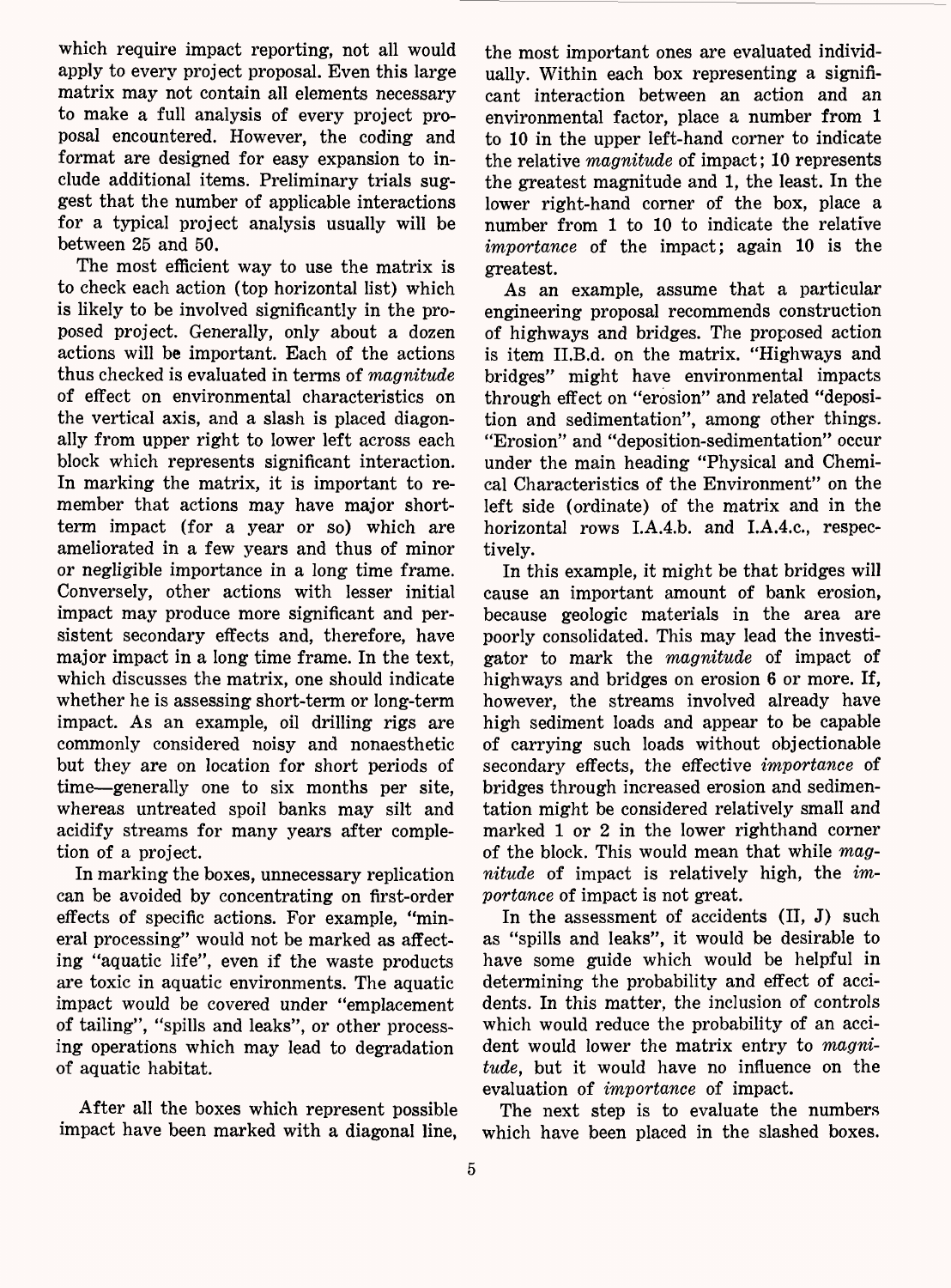which require impact reporting, not all would apply to every project proposal. Even this large matrix may not contain all elements necessary to make a full analysis of every project proposal encountered. However, the coding and format are designed for easy expansion to include additional items. Preliminary trials suggest that the number of applicable interactions for a typical project analysis usually will be between 25 and 50.

The most efficient way to use the matrix is to check each action (top horizontal list) which is likely to be involved significantly in the proposed project. Generally, only about a dozen actions will be important. Each of the actions thus checked is evaluated in terms of *magnitude*  of effect on environmental characteristics on the vertical axis, and a slash is placed diagonally from upper right to lower left across each block which represents significant interaction. In marking the matrix, it is important to remember that actions may have major shortterm impact (for a year or so) which are ameliorated in a few years and thus of minor or negligible importance in a long time frame. Conversely, other actions with lesser initial impact may produce more significant and persistent secondary effects and, therefore, have major impact in a long time frame. In the text, which discusses the matrix, one should indicate whether he is assessing short-term or long-term impact. As an example, oil drilling rigs are commonly considered noisy and nonaesthetic but they are on location for short periods of time—generally one to six months per site, whereas untreated spoil banks may silt and acidify streams for many years after completion of a project.

In marking the boxes, unnecessary replication can be avoided by concentrating on first-order effects of specific actions. For example, "mineral processing" would not be marked as affecting "aquatic life", even if the waste products are toxic in aquatic environments. The aquatic impact would be covered under "emplacement of tailing", "spills and leaks", or other processing operations which may lead to degradation of aquatic habitat.

After all the boxes which represent possible impact have been marked with a diagonal line,

the most important ones are evaluated individually. Within each box representing a significant interaction between an action and an environmental factor, place a number from 1 to 10 in the upper left-hand corner to indicate the relative *magnitude* of impact; 10 represents the greatest magnitude and 1, the least. In the lower right-hand corner of the box, place a number from 1 to 10 to indicate the relative *importance* of the impact; again 10 is the greatest.

As an example, assume that a particular engineering proposal recommends construction of highways and bridges. The proposed action is item II.B.d. on the matrix. "Highways and bridges" might have environmental impacts through effect on "erosion" and related "deposition and sedimentation", among other things. "Erosion" and "deposition-sedimentation" occur under the main heading "Physical and Chemical Characteristics of the Environment" on the left side (ordinate) of the matrix and in the horizontal rows I.A.4.b. and I.A.4.C., respectively.

In this example, it might be that bridges will cause an important amount of bank erosion, because geologic materials in the area are poorly consolidated. This may lead the investigator to mark the *magnitude* of impact of highways and bridges on erosion 6 or more. If, however, the streams involved already have high sediment loads and appear to be capable of carrying such loads without objectionable secondary effects, the effective *importance* of bridges through increased erosion and sedimentation might be considered relatively small and marked 1 or 2 in the lower righthand corner of the block. This would mean that while *magnitude* of impact is relatively high, the *importance* of impact is not great.

In the assessment of accidents (II, J) such as "spills and leaks", it would be desirable to have some guide which would be helpful in determining the probability and effect of accidents. In this matter, the inclusion of controls which would reduce the probability of an accident would lower the matrix entry to *magnitude,* but it would have no influence on the evaluation of *importance* of impact.

The next step is to evaluate the numbers which have been placed in the slashed boxes.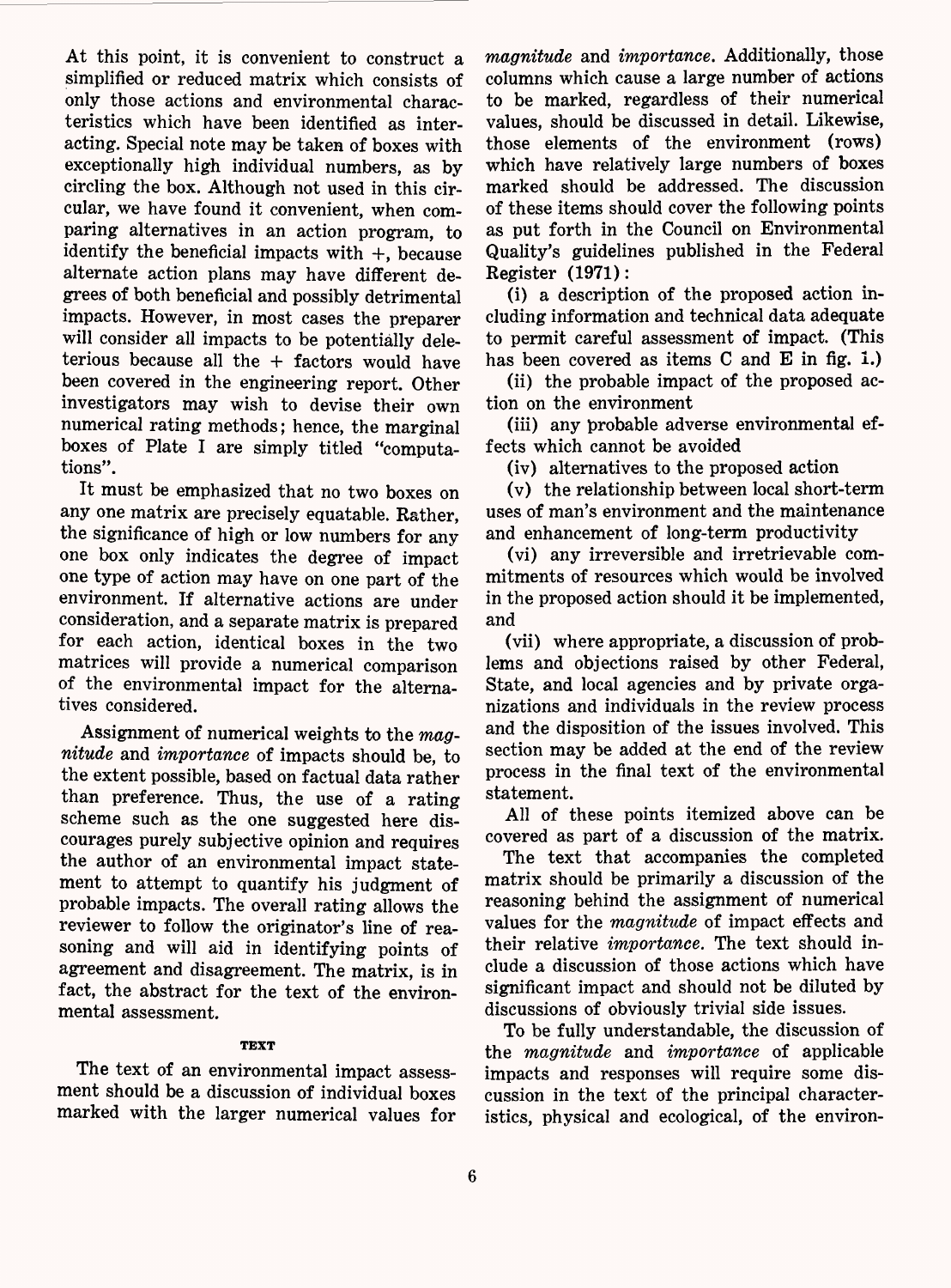At this point, it is convenient to construct a simplified or reduced matrix which consists of only those actions and environmental characteristics which have been identified as interacting. Special note may be taken of boxes with exceptionally high individual numbers, as by circling the box. Although not used in this circular, we have found it convenient, when comparing alternatives in an action program, to identify the beneficial impacts with +, because alternate action plans may have different degrees of both beneficial and possibly detrimental impacts. However, in most cases the preparer will consider all impacts to be potentially deleterious because all the  $+$  factors would have been covered in the engineering report. Other investigators may wish to devise their own numerical rating methods; hence, the marginal boxes of Plate I are simply titled "computations".

It must be emphasized that no two boxes on any one matrix are precisely equatable. Rather, the significance of high or low numbers for any one box only indicates the degree of impact one type of action may have on one part of the environment. If alternative actions are under consideration, and a separate matrix is prepared for each action, identical boxes in the two matrices will provide a numerical comparison of the environmental impact for the alternatives considered.

Assignment of numerical weights to the *magnitude* and *importance* of impacts should be, to the extent possible, based on factual data rather than preference. Thus, the use of a rating scheme such as the one suggested here discourages purely subjective opinion and requires the author of an environmental impact statement to attempt to quantify his judgment of probable impacts. The overall rating allows the reviewer to follow the originator's line of reasoning and will aid in identifying points of agreement and disagreement. The matrix, is in fact, the abstract for the text of the environmental assessment.

#### **TEXT**

The text of an environmental impact assessment should be a discussion of individual boxes marked with the larger numerical values for *magnitude* and *importance.* Additionally, those columns which cause a large number of actions to be marked, regardless of their numerical values, should be discussed in detail. Likewise, those elements of the environment (rows) which have relatively large numbers of boxes marked should be addressed. The discussion of these items should cover the following points as put forth in the Council on Environmental Quality's guidelines published in the Federal Register (1971):

(i) a description of the proposed action including information and technical data adequate to permit careful assessment of impact. (This has been covered as items C and E in fig. 1.)

(ii) the probable impact of the proposed action on the environment

(iii) any probable adverse environmental effects which cannot be avoided

(iv) alternatives to the proposed action

(v) the relationship between local short-term uses of man's environment and the maintenance and enhancement of long-term productivity

(vi) any irreversible and irretrievable commitments of resources which would be involved in the proposed action should it be implemented, and

(vii) where appropriate, a discussion of problems and objections raised by other Federal, State, and local agencies and by private organizations and individuals in the review process and the disposition of the issues involved. This section may be added at the end of the review process in the final text of the environmental statement.

All of these points itemized above can be covered as part of a discussion of the matrix.

The text that accompanies the completed matrix should be primarily a discussion of the reasoning behind the assignment of numerical values for the *magnitude* of impact effects and their relative *importance.* The text should include a discussion of those actions which have significant impact and should not be diluted by discussions of obviously trivial side issues.

To be fully understandable, the discussion of the *magnitude* and *importance* of applicable impacts and responses will require some discussion in the text of the principal characteristics, physical and ecological, of the environ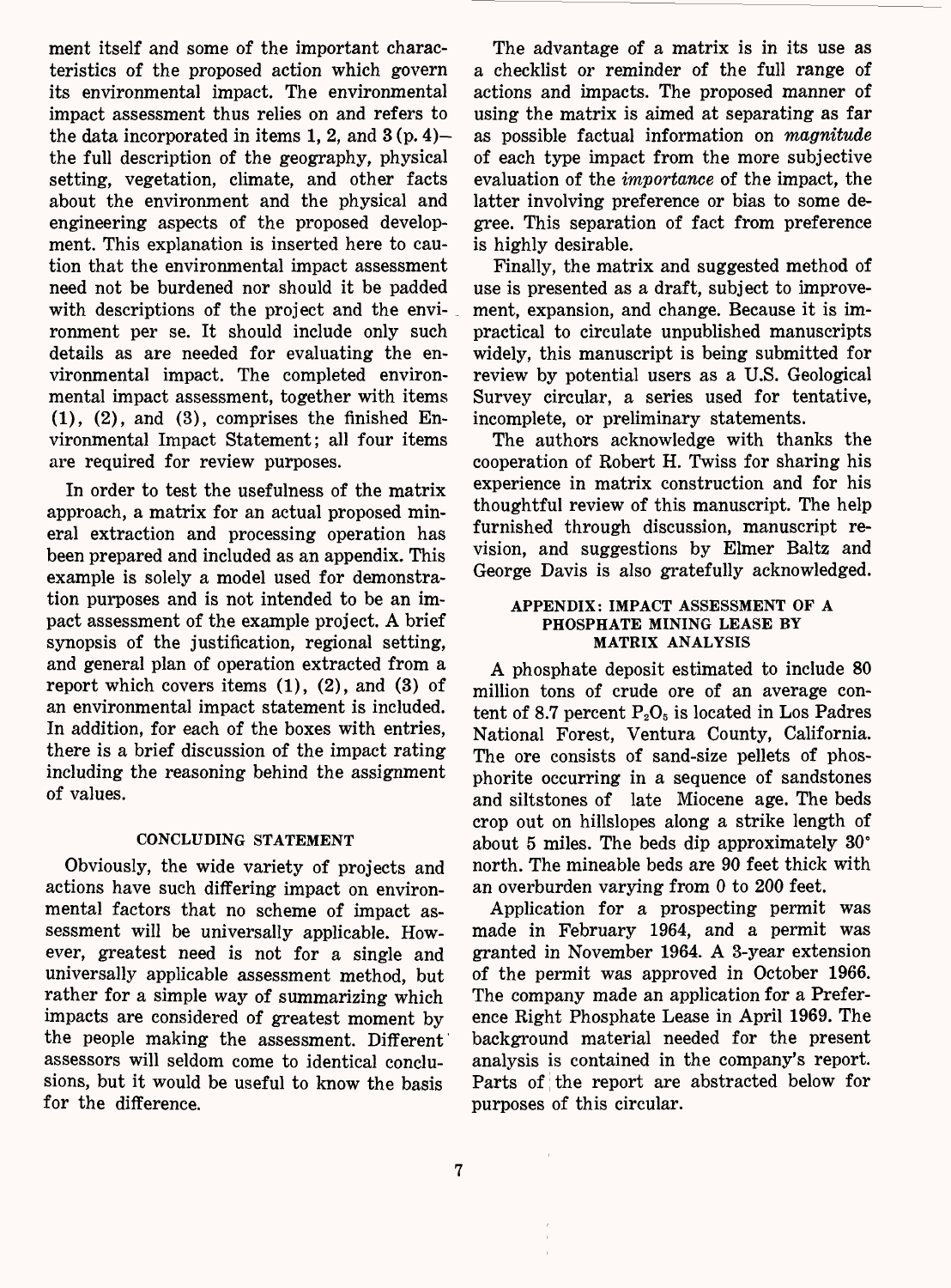ment itself and some of the important characteristics of the proposed action which govern its environmental impact. The environmental impact assessment thus relies on and refers to the data incorporated in items 1, 2, and  $3(p. 4)$ the full description of the geography, physical setting, vegetation, climate, and other facts about the environment and the physical and engineering aspects of the proposed development. This explanation is inserted here to caution that the environmental impact assessment need not be burdened nor should it be padded with descriptions of the project and the environment per se. It should include only such details as are needed for evaluating the environmental impact. The completed environmental impact assessment, together with items  $(1)$ ,  $(2)$ , and  $(3)$ , comprises the finished Environmental Impact Statement; all four items are required for review purposes.

In order to test the usefulness of the matrix approach, a matrix for an actual proposed mineral extraction and processing operation has been prepared and included as an appendix. This example is solely a model used for demonstration purposes and is not intended to be an impact assessment of the example project. A brief synopsis of the justification, regional setting, and general plan of operation extracted from a report which covers items  $(1)$ ,  $(2)$ , and  $(3)$  of an environmental impact statement is included. In addition, for each of the boxes with entries, there is a brief discussion of the impact rating including the reasoning behind the assignment of values.

#### **CONCLUDING STATEMENT**

Obviously, the wide variety of projects and actions have such differing impact on environmental factors that no scheme of impact assessment will be universally applicable. However, greatest need is not for a single and universally applicable assessment method, but rather for a simple way of summarizing which impacts are considered of greatest moment by the people making the assessment. Different assessors will seldom come to identical conclusions, but it would be useful to know the basis for the difference.

The advantage of a matrix is in its use as a checklist or reminder of the full range of actions and impacts. The proposed manner of using the matrix is aimed at separating as far as possible factual information on *magnitude*  of each type impact from the more subjective evaluation of the *importance* of the impact, the latter involving preference or bias to some degree. This separation of fact from preference is highly desirable.

Finally, the matrix and suggested method of use is presented as a draft, subject to improvement, expansion, and change. Because it is impractical to circulate unpublished manuscripts widely, this manuscript is being submitted for review by potential users as a U.S. Geological Survey circular, a series used for tentative, incomplete, or preliminary statements.

The authors acknowledge with thanks the cooperation of Robert H. Twiss for sharing his experience in matrix construction and for his thoughtful review of this manuscript. The help furnished through discussion, manuscript revision, and suggestions by Elmer Baltz and George Davis is also gratefully acknowledged.

#### APPENDIX: IMPACT ASSESSMENT OF A **PHOSPHATE MINING LEASE BY MATRIX ANALYSIS**

A phosphate deposit estimated to include 80 million tons of crude ore of an average content of 8.7 percent  $P_2O_5$  is located in Los Padres National Forest, Ventura County, California. The ore consists of sand-size pellets of phosphorite occurring in a sequence of sandstones and siltstones of late Miocene age. The beds crop out on hillslopes along a strike length of about 5 miles. The beds dip approximately 30° north. The mineable beds are 90 feet thick with an overburden varying from 0 to 200 feet.

Application for a prospecting permit was made in February 1964, and a permit was granted in November 1964. A 3-year extension of the permit was approved in October 1966. The company made an application for a Preference Right Phosphate Lease in April 1969. The background material needed for the present analysis is contained in the company's report. Parts of the report are abstracted below for purposes of this circular.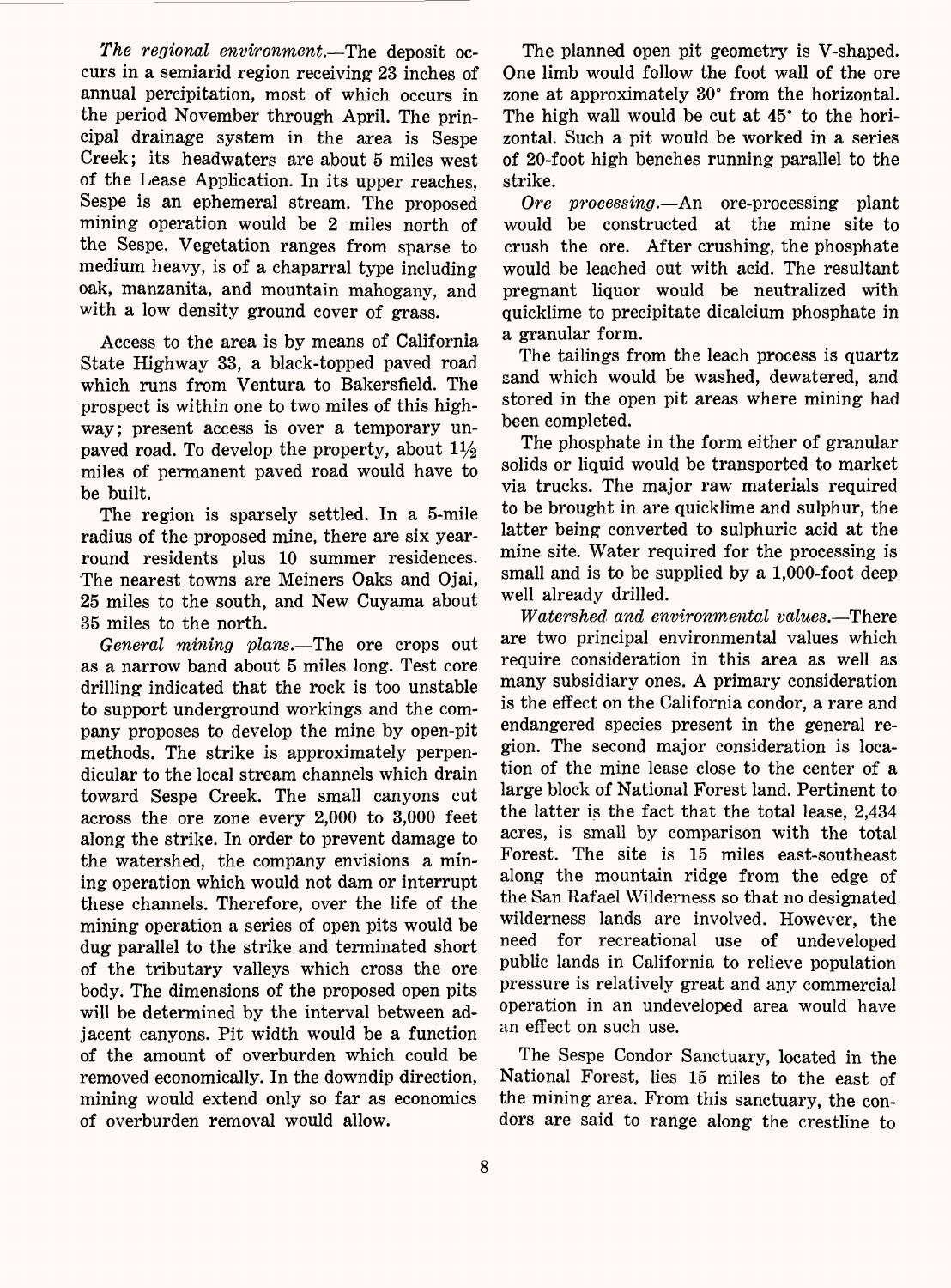*The regional environment.—*The deposit occurs in a semiarid region receiving 23 inches of annual percipitation, most of which occurs in the period November through April. The principal drainage system in the area is Sespe Creek; its headwaters are about 5 miles west of the Lease Application. In its upper reaches, Sespe is an ephemeral stream. The proposed mining operation would be 2 miles north of the Sespe. Vegetation ranges from sparse to medium heavy, is of a chaparral type including oak, manzanita, and mountain mahogany, and with a low density ground cover of grass.

Access to the area is by means of California State Highway 33, a black-topped paved road which runs from Ventura to Bakersfield. The prospect is within one to two miles of this highway; present access is over a temporary unpaved road. To develop the property, about  $1\frac{1}{2}$ miles of permanent paved road would have to be built.

The region is sparsely settled. In a 5-mile radius of the proposed mine, there are six yearround residents plus 10 summer residences. The nearest towns are Meiners Oaks and Ojai, 25 miles to the south, and New Cuyama about 35 miles to the north.

*General mining plans.—*The ore crops out as a narrow band about 5 miles long. Test core drilling indicated that the rock is too unstable to support underground workings and the company proposes to develop the mine by open-pit methods. The strike is approximately perpendicular to the local stream channels which drain toward Sespe Creek. The small canyons cut across the ore zone every 2,000 to 3,000 feet along the strike. In order to prevent damage to the watershed, the company envisions a mining operation which would not dam or interrupt these channels. Therefore, over the life of the mining operation a series of open pits would be dug parallel to the strike and terminated short of the tributary valleys which cross the ore body. The dimensions of the proposed open pits will be determined by the interval between adjacent canyons. Pit width would be a function of the amount of overburden which could be removed economically. In the downdip direction, mining would extend only so far as economics of overburden removal would allow.

The planned open pit geometry is V-shaped. One limb would follow the foot wall of the ore zone at approximately 30° from the horizontal. The high wall would be cut at 45° to the horizontal. Such a pit would be worked in a series of 20-foot high benches running parallel to the strike.

*Ore processing.—*An ore-processing plant would be constructed at the mine site to crush the ore. After crushing, the phosphate would be leached out with acid. The resultant pregnant liquor would be neutralized with quicklime to precipitate dicalcium phosphate in a granular form.

The tailings from the leach process is quartz sand which would be washed, dewatered, and stored in the open pit areas where mining had been completed.

The phosphate in the form either of granular solids or liquid would be transported to market via trucks. The major raw materials required to be brought in are quicklime and sulphur, the latter being converted to sulphuric acid at the mine site. Water required for the processing is small and is to be supplied by a 1,000-foot deep well already drilled.

*Watershed and environmental values.—*There are two principal environmental values which require consideration in this area as well as many subsidiary ones. A primary consideration is the effect on the California condor, a rare and endangered species present in the general region. The second major consideration is location of the mine lease close to the center of a large block of National Forest land. Pertinent to the latter is the fact that the total lease, 2,434 acres, is small by comparison with the total Forest. The site is 15 miles east-southeast along the mountain ridge from the edge of the San Rafael Wilderness so that no designated wilderness lands are involved. However, the need for recreational use of undeveloped public lands in California to relieve population pressure is relatively great and any commercial operation in an undeveloped area would have an effect on such use.

The Sespe Condor Sanctuary, located in the National Forest, lies 15 miles to the east of the mining area. From this sanctuary, the condors are said to range along the crestline to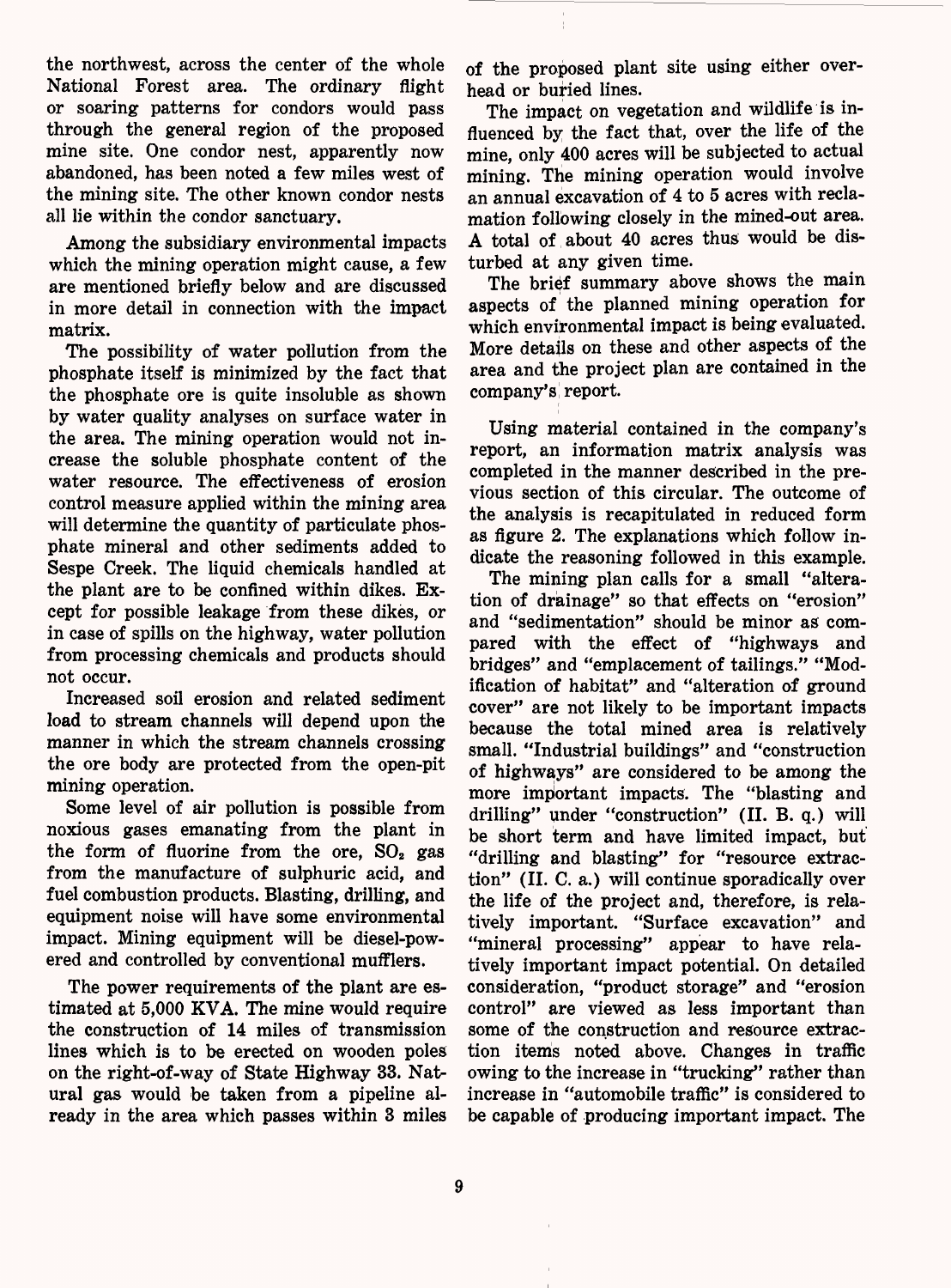the northwest, across the center of the whole National Forest area. The ordinary flight or soaring patterns for condors would pass through the general region of the proposed mine site. One condor nest, apparently now abandoned, has been noted a few miles west of the mining site. The other known condor nests all lie within the condor sanctuary.

Among the subsidiary environmental impacts which the mining operation might cause, a few are mentioned briefly below and are discussed in more detail in connection with the impact matrix.

The possibility of water pollution from the phosphate itself is minimized by the fact that the phosphate ore is quite insoluble as shown by water quality analyses on surface water in the area. The mining operation would not increase the soluble phosphate content of the water resource. The effectiveness of erosion control measure applied within the mining area will determine the quantity of particulate phosphate mineral and other sediments added to Sespe Creek. The liquid chemicals handled at the plant are to be confined within dikes. Except for possible leakage from these dikes, or in case of spills on the highway, water pollution from processing chemicals and products should not occur.

Increased soil erosion and related sediment load to stream channels will depend upon the manner in which the stream channels crossing the ore body are protected from the open-pit mining operation.

Some level of air pollution is possible from noxious gases emanating from the plant in the form of fluorine from the ore,  $SO<sub>2</sub>$  gas from the manufacture of sulphuric acid, and fuel combustion products. Blasting, drilling, and equipment noise will have some environmental impact. Mining equipment will be diesel-powered and controlled by conventional mufflers.

The power requirements of the plant are estimated at 5,000 KVA. The mine would require the construction of 14 miles of transmission lines which is to be erected on wooden poles on the right-of-way of State Highway 33. Natural gas would be taken from a pipeline already in the area which passes within 3 miles of the proposed plant site using either overhead or buried lines.

The impact on vegetation and wildlife is influenced by the fact that, over the life of the mine, only 400 acres will be subjected to actual mining. The mining operation would involve an annual excavation of 4 to 5 acres with reclamation following closely in the mined-out area. A total of about 40 acres thus would be disturbed at any given time.

The brief summary above shows the main aspects of the planned mining operation for which environmental impact is being evaluated. More details on these and other aspects of the area and the project plan are contained in the company's report.

Using material contained in the company's report, an information matrix analysis was completed in the manner described in the previous section of this circular. The outcome of the analysis is recapitulated in reduced form as figure 2. The explanations which follow indicate the reasoning followed in this example.

The mining plan calls for a small "alteration of drainage" so that effects on "erosion" and "sedimentation" should be minor as compared with the effect of "highways and bridges" and "emplacement of tailings." "Modification of habitat" and "alteration of ground cover" are not likely to be important impacts because the total mined area is relatively small. "Industrial buildings" and "construction of highways" are considered to be among the more important impacts. The "blasting and drilling" under "construction" (II. B. q.) will be short term and have limited impact, but "drilling and blasting" for "resource extraction" (II. C. a.) will continue sporadically over the life of the project and, therefore, is relatively important. "Surface excavation" and "mineral processing" appear to have relatively important impact potential. On detailed consideration, "product storage" and "erosion control" are viewed as less important than some of the construction and resource extraction items noted above. Changes in traffic owing to the increase in "trucking" rather than increase in "automobile traffic" is considered to be capable of producing important impact. The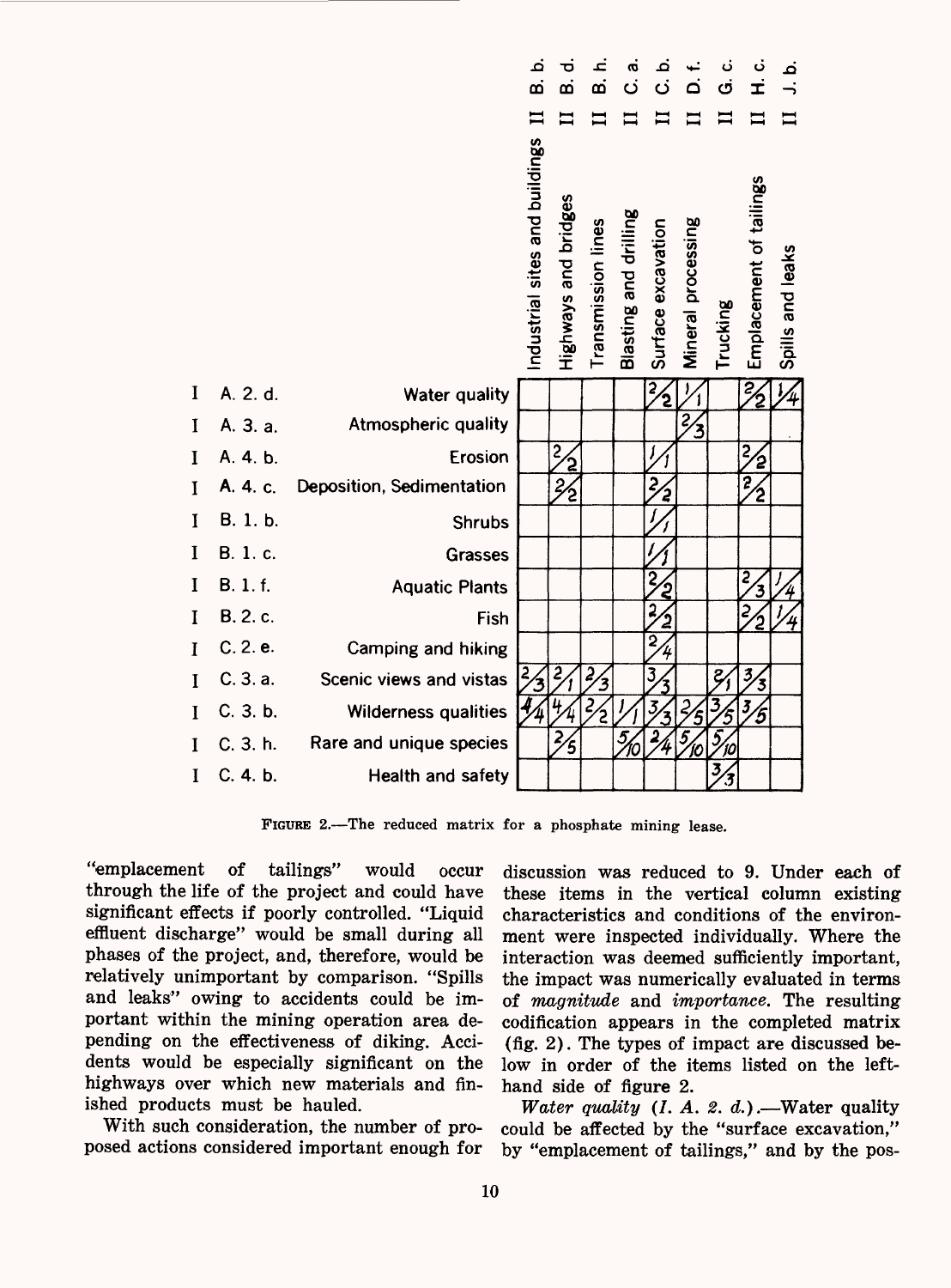

FIGURE 2.—The reduced matrix for a phosphate mining lease.

"emplacement of tailings" would occur through the life of the project and could have significant effects if poorly controlled. "Liquid effluent discharge" would be small during all phases of the project, and, therefore, would be relatively unimportant by comparison. "Spills and leaks" owing to accidents could be important within the mining operation area depending on the effectiveness of diking. Accidents would be especially significant on the highways over which new materials and finished products must be hauled.

With such consideration, the number of proposed actions considered important enough for

discussion was reduced to 9. Under each of these items in the vertical column existing characteristics and conditions of the environment were inspected individually. Where the interaction was deemed sufficiently important, the impact was numerically evaluated in terms of *magnitude* and *importance.* The resulting codification appears in the completed matrix (fig. 2). The types of impact are discussed below in order of the items listed on the lefthand side of figure 2.

*Water quality (L* A. *2. d.).—*Water quality could be affected by the "surface excavation," by "emplacement of tailings," and by the pos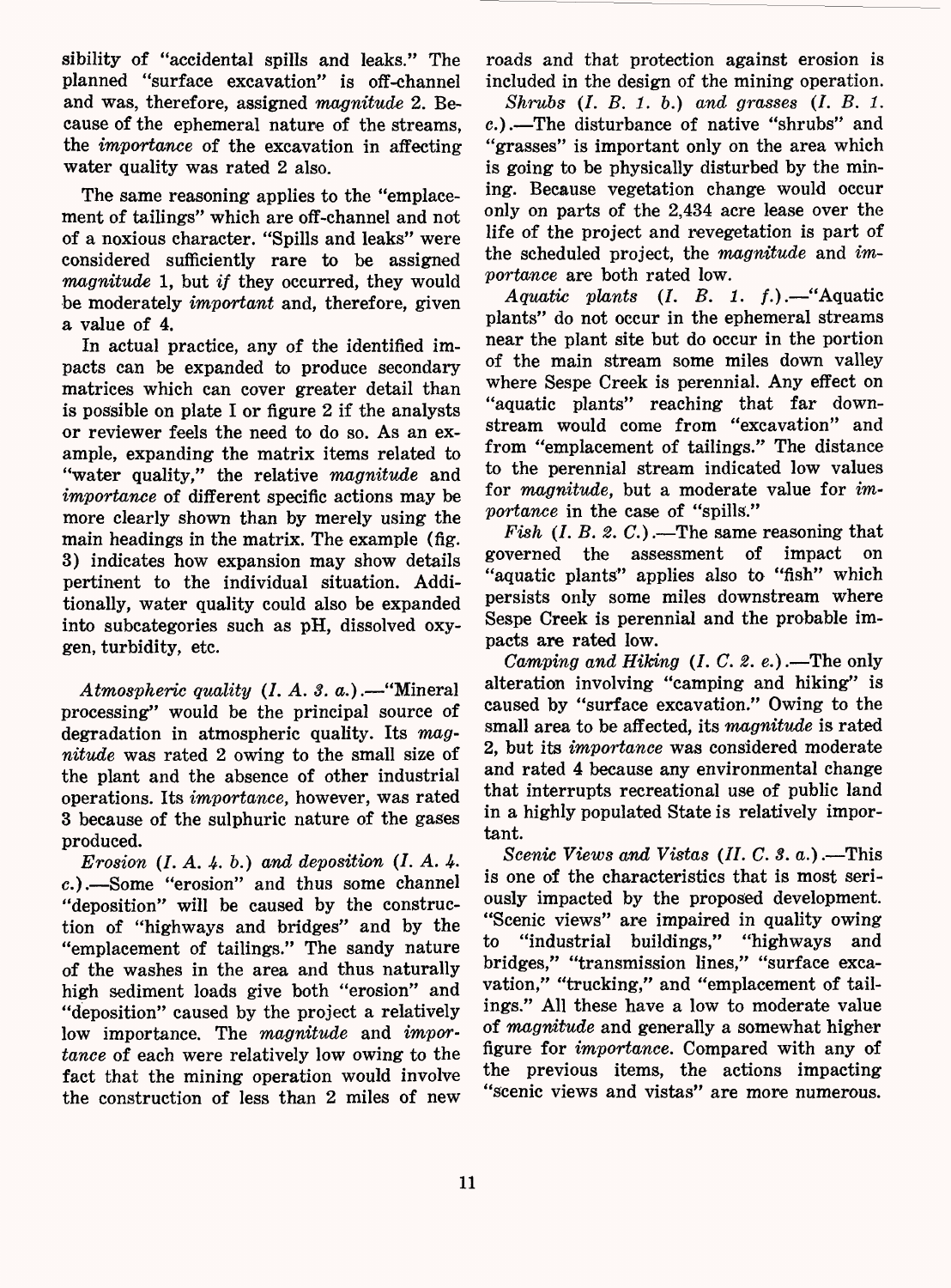sibility of "accidental spills and leaks." The planned "surface excavation" is off-channel and was, therefore, assigned *magnitude 2.* Because of the ephemeral nature of the streams, the *importance* of the excavation in affecting water quality was rated 2 also.

The same reasoning applies to the "emplacement of tailings" which are off-channel and not of a noxious character. "Spills and leaks" were considered sufficiently rare to be assigned *magnitude* 1, but *if* they occurred, they would be moderately *important* and, therefore, given a value of 4.

In actual practice, any of the identified impacts can be expanded to produce secondary matrices which can cover greater detail than is possible on plate I or figure 2 if the analysts or reviewer feels the need to do so. As an example, expanding the matrix items related to "water quality," the relative *magnitude* and *importance* of different specific actions may be more clearly shown than by merely using the main headings in the matrix. The example (fig. 3) indicates how expansion may show details pertinent to the individual situation. Additionally, water quality could also be expanded into subcategories such as pH, dissolved oxygen, turbidity, etc.

*Atmospheric quality (I. A. 3. a.).—*"Mineral processing" would be the principal source of degradation in atmospheric quality. Its *magnitude* was rated 2 owing to the small size of the plant and the absence of other industrial operations. Its *importance,* however, was rated 3 because of the sulphuric nature of the gases produced.

*Erosion (I. A. 4. b.) and deposition (I. A. 4.*  c.).—Some "erosion" and thus some channel "deposition" will be caused by the construction of "highways and bridges" and by the "emplacement of tailings." The sandy nature of the washes in the area and thus naturally high sediment loads give both "erosion" and "deposition" caused by the project a relatively low importance. The *magnitude* and *importance* of each were relatively low owing to the fact that the mining operation would involve the construction of less than 2 miles of new

roads and that protection against erosion is included in the design of the mining operation.

*Shrubs (I. B. 1. b.) and grasses (I. B. 1.*  c.).—The disturbance of native "shrubs" and "grasses" is important only on the area which is going to be physically disturbed by the mining. Because vegetation change would occur only on parts of the 2,434 acre lease over the life of the project and revegetation is part of the scheduled project, the *magnitude* and *importance* are both rated low.

*Aquatic plants (I. B. 1.* /.).—"Aquatic plants" do not occur in the ephemeral streams near the plant site but do occur in the portion of the main stream some miles down valley where Sespe Creek is perennial. Any effect on "aquatic plants" reaching that far downstream would come from "excavation" and from "emplacement of tailings." The distance to the perennial stream indicated low values for *magnitude,* but a moderate value for *importance* in the case of "spills."

*Fish (I. B. 2.* C.).—The same reasoning that governed the assessment of impact on "aquatic plants" applies also to "fish" which persists only some miles downstream where Sespe Greek is perennial and the probable impacts are rated low.

*Camping and Hiking (I. C. 2. e.).—*The only alteration involving "camping and hiking" is caused by "surface excavation." Owing to the small area to be affected, its *magnitude* is rated 2, but its *importance* was considered moderate and rated 4 because any environmental change that interrupts recreational use of public land in a highly populated State is relatively important.

*Scenic Views and Vistas (II. C. 3. a.).—*This is one of the characteristics that is most seriously impacted by the proposed development. "Scenic views" are impaired in quality owing to "industrial buildings," "highways and bridges," "transmission lines," "surface excavation," "trucking," and "emplacement of tailings." All these have a low to moderate value of *magnitude* and generally a somewhat higher figure for *importance.* Compared with any of the previous items, the actions impacting "scenic views and vistas" are more numerous.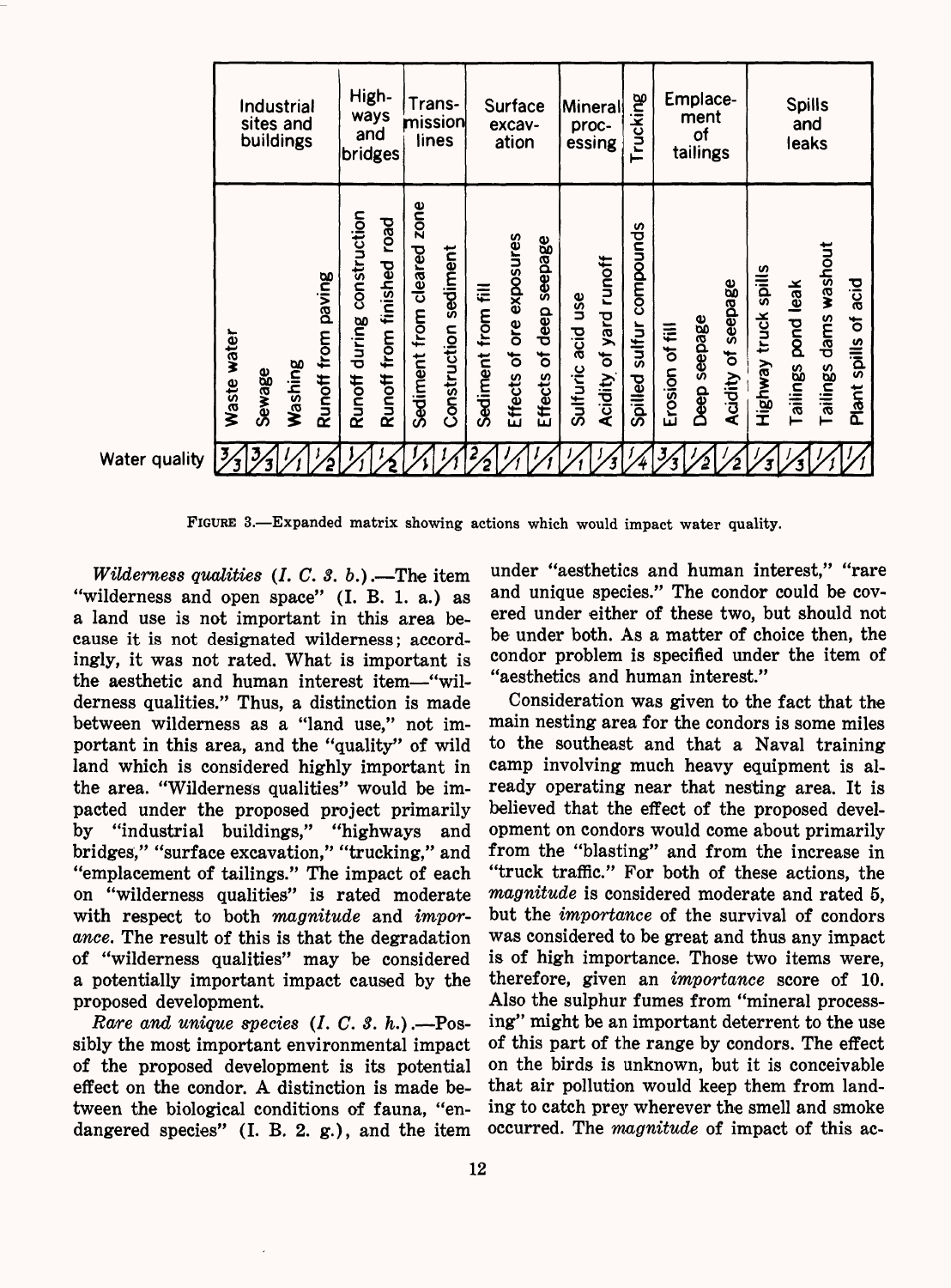|               | Industrial<br>sites and<br>buildings |        |         |                       | High-<br>ways<br>and<br>bridges <sup>!</sup> |                              | Trans-<br>mission<br>lines       |                       | <b>Surface</b><br>excav-<br>ation |                          |                                 | Mineral<br>proc-<br>essing |                                  | Trucking                       | Emplace-<br>ment<br>of<br>tailings |              | <b>Spills</b><br>and<br>leaks      |                         |                              |                       |                             |
|---------------|--------------------------------------|--------|---------|-----------------------|----------------------------------------------|------------------------------|----------------------------------|-----------------------|-----------------------------------|--------------------------|---------------------------------|----------------------------|----------------------------------|--------------------------------|------------------------------------|--------------|------------------------------------|-------------------------|------------------------------|-----------------------|-----------------------------|
|               | water<br>Waste                       | Sewage | Washing | paving<br>Runoff from | construction<br>during<br>Runoff             | road<br>Runoff from finished | zone<br>cleared<br>Sediment from | Construction sediment | Sediment from fill                | Effects of ore exposures | seepage<br>deep<br>৳<br>Effects | acid use<br>Sulfuric       | of yard runoff<br><b>Acidity</b> | compounds<br>sulfur<br>Spilled | Erosion of fill                    | Deep seepage | seepage<br>$\mathbf{r}$<br>Acidity | spills<br>Highway truck | pond leak<br><b>Tailings</b> | Tailings dams washout | acid<br>spills of<br>Plant: |
| Water quality |                                      |        |         |                       |                                              |                              |                                  |                       |                                   |                          |                                 |                            |                                  |                                |                                    |              |                                    |                         |                              |                       |                             |

FIGURE 3.-Expanded matrix showing actions which would impact water quality.

Wilderness qualities  $(I. C. 3. b.)$ . The item "wilderness and open space" (I. B. 1. a.) as a land use is not important in this area because it is not designated wilderness; accordingly, it was not rated. What is important is the aesthetic and human interest item—"wilderness qualities." Thus, a distinction is made between wilderness as a "land use." not important in this area, and the "quality" of wild land which is considered highly important in the area. "Wilderness qualities" would be impacted under the proposed project primarily by "industrial buildings," "highways and bridges," "surface excavation," "trucking," and "emplacement of tailings." The impact of each on "wilderness qualities" is rated moderate with respect to both magnitude and imporance. The result of this is that the degradation of "wilderness qualities" may be considered a potentially important impact caused by the proposed development.

Rare and unique species  $(I, C, 3, h.)$ . --Possibly the most important environmental impact of the proposed development is its potential effect on the condor. A distinction is made between the biological conditions of fauna, "endangered species" (I. B. 2. g.), and the item

under "aesthetics and human interest," "rare and unique species." The condor could be covered under either of these two, but should not be under both. As a matter of choice then, the condor problem is specified under the item of "aesthetics and human interest."

Consideration was given to the fact that the main nesting area for the condors is some miles to the southeast and that a Naval training camp involving much heavy equipment is already operating near that nesting area. It is believed that the effect of the proposed development on condors would come about primarily from the "blasting" and from the increase in "truck traffic." For both of these actions, the *magnitude* is considered moderate and rated 5, but the *importance* of the survival of condors was considered to be great and thus any impact is of high importance. Those two items were, therefore, given an *importance* score of 10. Also the sulphur fumes from "mineral processing" might be an important deterrent to the use of this part of the range by condors. The effect on the birds is unknown, but it is conceivable that air pollution would keep them from landing to catch prey wherever the smell and smoke occurred. The magnitude of impact of this ac